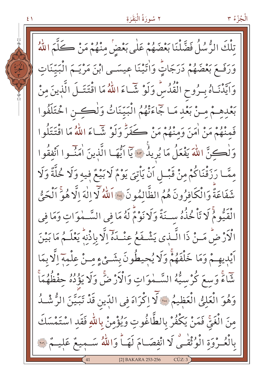٤١

الْجُزْءُ ٣

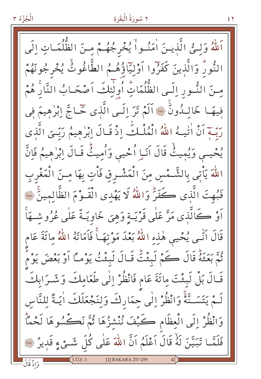الْجُزْءُ ٣

اَللَّهُ وَلِـئٌ الَّذِيـنَ اٰمَنُـواْ يُخْرِجُهُـمْ مِـنَ الظُّلُمَـاتِ اِلَى النُّورُ وَالَّذِينَ كَفَرُوا اَوْلِيَاؤُهُـمُ الطَّاغُوثُ يُخْرِجُونَهُمْ مِنَ النُّـورِ الَـى الظُّلُمَاتِّ أُولِّئِكَ اَصْحَـابُ النَّارُ هُمْ فيهَـا خَالـدُونَ ۞ اَلَمْ تَرَ اِلَـى الَّذِى حَمَاجَ اِبْرٰهِيمَ فِي رَبِّــة أَنْ اٰتِّيــهُ اللّهُ الْمُلْكِّ إِذْ قَـالَ إِبْرٰهِيمُ رَبِّــىَ الَّذِى يُحْيِـى وَيُمِيثُ قَالَ آنَـاٍ أُحْيِي وَأُمِيثُ قَـالَ اِبْرٰهِيمُ فَاِنَّ اللهَ يَأْتِي بِالشَّـْمْسِ مِنَ الْمَشْـرةِ فَأْتِ بِهَا مِـنَ الْمَغْرِبِ فَبُهتَ الَّذي كَفَرٍّ وَاللَّهُ لَا يَهْدِى الْقَـوْمَ الظَّالِمِينَّ ۞ اَوْ ڪَالَّذِي مَرَّ عَلٰى قَرْيَـةٍ وَهِيَ خَاوِيَـةٌ عَلٰى عُرُوشَـهَاْ قَالَ اَنِّسِي يُحْيِي هٰذِهِ اللَّهُ بَعْدَ مَوْتِهَــاً فَاَمَاتَهُ اللَّهُ مِائَةَ عَام ثُمَّ بَعَثَهُ قَالَ كُمْ لَبِثْتُ قَـالَ لَبِثْتُ يَوْمـًا أَوْ بَعْضَ يَوْمَ قَـالَ بَلْ لَبِثْتَ مِائَةَ عَام فَانْظُرْ إِلٰى طَعَامِكَ وَشَـرَابِكَ لَـمْ يَتَسَـنَّهُۚ وَانْظُرْ اِلْى حِمَارِكَ وَلِنَجْعَلَكَ اٰيَـةً لِلنَّاسِ وَانْظُرْ إِلَى الْعِظَامِ كَيْفَ نُنْشِزُهَا ثُمَّ نَكْسُوهَا لَحْمًّا فَلَمَّا تَبَيَّنَ لَهُ قَالَ اَعْلَمُ اَنَّ اللَّهَ عَلَى كُلِّ شَـئٍ ءٍ قَدِيرٌ ۞ وَاذْ قَالَ [2] BAKARA 257-259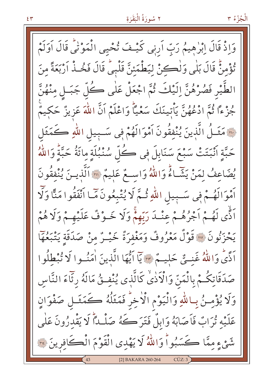وَإِذْ قَالَ إِبْرٰهِيمُ رَبِّ اَرِنِي كَيْـفَ تُحْيِي الْمَوْتَى قَالَ اَوَلَمْ تُؤْمِنُ قَالَ بَلٰى وَلٰكِنْ لِيَطْمَئِنَّ قَلْبِيٌّ قَالَ فَخُـذْ اَرْبَعَةً منَ الطَّيْرِ فَصُرْهُنَّ اِلَيْكَ ثُمَّ اجْعَلْ عَلٰى كُلّ جَبَـلٍ مِنْهُنَّ جُزْءًا ثُمَّ ادْعُهُنَّ يَأْتِينَكَ سَعْيَأُ وَاعْلَمْ اَنَّ اللّٰهَ عَزِيزٌ حَكِيمٌ فِيَّ مَغَــلُ الَّذِينَ يُنْفِقُونَ آمْوَالَهُمْ فِي سَــبِيلِ اللَّهِ كَمَثَل حَبَّةٍ اَنْبَتَتْ سَبْعَ سَنَابِلَ فِي كُلِّ سُنْبُلَةٍ مِائَةُ حَبَّةٍ وَاللّهُ يُضَاعِفُ لِمَنْ يَشَاءُ وَاللَّهُ وَاسِعُ عَلِيمٌ ۞ اَلَّذِينَ يُنْفِقُونَ اَمْوَالَهُـمْ فِي سَـبِيلِ اللّهِ ثُـمَّ لَا يُتْبِعُونَ مَٓـا اَنْفَقُوا مَنَّا وَلَا اَذًى لَهُمْ اَجْرُهُمْ عِنْكَ رَبِّهِمْ وَلَا خَـوْفٌ عَلَيْهِمْ وَلَا هُمْ بِحْزَنُونَ ۞ قَوْلٌ مَعْرُوفٌ وَمَغْفِرَةٌ خَيْـرٌ مِنْ صَدَقَةٍ يَتْبَعُهَا اَذًىَّ وَاللَّهُ غَنِيٌّ حَلِيهٌ \* يَآ اَيُّهَا الَّذِينَ اٰمَنُوا لَا تُبْطِلُوا صَدَقَاتِكُمْ بِالْمَنّ وَالْأَذٰىٰ كَالَّذِى يُنْفِقُ مَالَهُ رِئَاءَ النَّاس وَلَا يُؤْمِنُ بِاللَّهِ وَالْيَوْمِ الْأَخِرُّ فَمَثَلُهُ كَمَثَـلٍ صَفْوَانٍ عَلَيْهِ ثُرَابٌ فَاَصَابَهُ وَابِلٌ فَتَرَكُمُ صَلْـدًّا لَا يَقْدِرُونَ عَلَى شَيْءٍ مِمَّا كَسَبُواْ وَاللَّهُ لَا يَهْدِى الْقَوْمَ الْكَافِرِينَ ۞ [2] BAKARA 260-264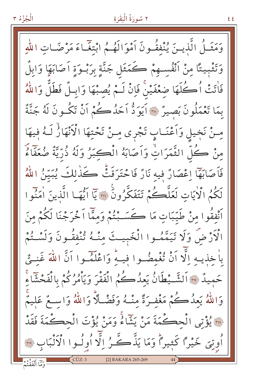وَمَثَـلُ الَّذِيـنَ يُنْفِقُـونَ أَمْوَالَهُـمُ ابْتِغَـاءَ مَرْضَـاتِ اللَّهِ وَتَثْبِيتًا مِنْ اَنْفُسِهِمْ كَمَثَلِ جَنَّةٍ بِرَبْـوَةِ اَصَابَهَا وَابِلٌ فَأْتَتْ أُكْلَهَا ضَعْفَيْنَ فَإِنْ لَـمْ يُصِبْهَا وَابِلٌ فَطَلِّ وَاللَّهُ بِمَا تَعْمَلُونَ بَصِيرٌ ۞ آيَوَدُّ آحَدُكُمُ آنْ تَكُـونَ لَهُ جَنَّةٌ مِنْ نَجْيلٍ وَاَعْنَـابٍ تَجْرِي مِـنْ تَحْتِهَا الْأَنْهَالُ لَـهُ فيهَا مِنْ كُلِّ الثَّمَرَاتِ وَأَصَابَهُ الْكَبَرُ وَلَهُ ذُرِّيَّةٌ صُعَفَاءٌ فَاَصَابَهَا اِعْصَارٌ فِيهِ نَارٌ فَاحْتَرَقَتَّ كَذٰلِكَ يُبَيِّنُ اللَّهُ لَكُمُ الْأَيَاتِ لَعَلَّكُمْ تَتَفَكَّرُونَ ۞ يَا أَيُّهَا الَّذِينَ أُمَنُوا اَنْفِقُوا مِنْ طَيِّبَاتٍ مَا ڪَسَـبْتُمْ وَممَّا اَخْرَجْنَا لَكُمْ مِنَ الْأَرْضَ وَلَا تَيَمَّمُوا الْخَبِيتَ مِنْـهُ تُنْفِقُونَ وَلَسْـتُمْ بِأَخذيـه إِلَّا أَنْ تُغْمِضُـوا فِيـهِ وَاعْلَمَـوا أَنَّ اللَّهَ غَنِـيٌّ حَمِيدٌ ۞ اَلشَّـيْطَانُ يَعِدُكُمُ الْفَقْرَ وَيَأْمُرُكُمْ بِالْفَحْشَاءَ وَاللَّهُ يَعِدُكُمْ مَغْفِرَةً مِنْـهُ وَفَضْـلَّا وَاللَّهُ وَاسْـعٌ عَلِيمٌ لِلَّهِ يُؤْتِي الْجِكْمَةَ مَنْ يَشَاءُ وَمَنْ يُؤْتَ الْحِكْمَةَ فَقَدْ اُوتِيَ خَيْرًا كَثِيراً وَمَا يَذَّكَّـرُ اِلَّا اُولُـوا الْآلْبَابِ ۞ [2] BAKARA 265-269 وَمَا أَنْفَقْتُمْ

الْجُزْءُ ٣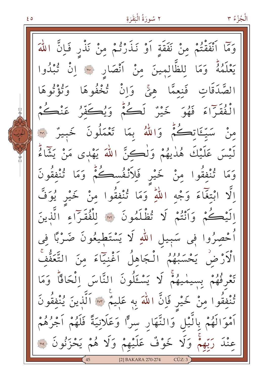٢ سُورَةُ الْبَقَرَةِ وَمَا ٱنْفَقْتُمْ مِنْ نَفَقَةٍ أَوْ نَذَرْتُمْ مِنْ نَذْرٍ فَإِنَّ اللَّهَ يَعْلَمُهُ وَمَا لِلظَّالِمِينَ مِنْ أَنْصَارِ ۞ إِنْ يُبْدُوا الصَّدَقَاتِ فَنِعمَّا هِئَ وَإِنْ تُخْفُوهَا وَتُؤْتُوهَا الْفُقْرَاءَ فَهُوَ خَيْرٌ لَكُمْ وَيُكَفَّرُ عَنْكُمْ سَيِّـٵتِڪُمُّ وَاللّٰهُ بِمَا تَعْمَلُونَ خَبِيرٌ ۞ لَيْسَ عَلَيْكَ هُذِيهُمْ وَلْكِنَّ اللَّهَ يَهْدى مَنْ يَشَاءُ تُنْفِقُوا مِنْ خَيْرِ فَلِأَنْفُسِكُمْ وَمَا تُنْفِقُونَ وَمَا اِلَّا ابْتِغَاءَ وَجْهِ اللَّهِ وَمَا تُنْفِقُوا مِنْ خَيْرِ يُوَفَّ الَّذِكُمْ وَأَنْتُمْ لَا تُظْلَمُونَ ۞ للْفُقَرَاءِ الَّذِينَ اُحْصِرُوا فِي سَبِيلِ اللّٰهِ لَا يَسْتَطِيعُونَ صَـرْبًا في الْأَرْضُ يَحْسَبُهُمُ الْجَاهِلُ اَغْنِيَاءَ مِنَ التَّعَفُّفَ تَعْرِفُهُمْ بِسِيمْيِهُمْ لَا يَسْتَلُونَ النَّاسَ الْحَافَاً وَمَا تُنْفِقُوا مِنْ خَيْرٍ فَإِنَّ اللَّهَ بِهِ عَلِيمٌ ۞ اَلَّذِينَ يُنْفِقُونَ ٱمْوَالَهُمْ بِالَّيْلِ وَالنَّهَارِ سِرًّا وَعَلَانِيَةً فَلَهُمْ آجْرُهُمْ عِنْدَ رَبِّهِمْ وَلَا خَوْفٌ عَلَيْهِمْ وَلَا هُمْ يَحْزَنُونَ ۞

[2] BAKARA 270-274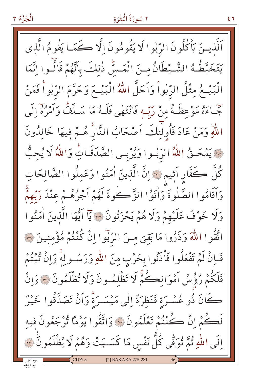الْجُزْءُ ٣

اَلَّذِينَ يَأْكُلُونَ الرِّبْوا لَا يَقُومُونَ إِلَّا كَمَا يَقُومُ الَّذِي يَتَخَبَّطُهُ الشَّيْطَانُ مِنَ الْمَسِّ ذٰلكَ بِأَنَّهُمْ قَالَـوا اتَّمَا انْبَيْــمُ مِثْلُ الرّبٰواْ وَاَحَلَّ اللّٰهُ الْبَيْــعَ وَحَرَّمَ الرّبٰواْ فَمَنْ جَّاءَهُ مَوْعِظَـةٌ مِنْ رَبِّـهِ فَانْتَهٰى فَلَـهُ مَا سَـلَفٌ وَأَمْرُهُ الَّـى اللَّهِ وَمَنْ عَادَ فَأُولٰئِكَ اَصْحَابُ النَّارْ هُـمْ فِيهَا خَالِدُونَ \* يَمْحَــقُ اللّهُ الرّبٰـوا وَيُرْبِـى الصَّدَقَـاتِّ وَاللّهُ لَا يُحِبُّ كُلَّ كَقَّارٍ اَثْبِم ۞ إنَّ الَّذِينَ اٰمَنُوا وَعَمِلُوا الصَّالِحَاتِ وَأَقَامُوا الصَّلٰوةَ وَأْتَوُا الزَّكُوةَ لَهُمْ أَجْرُهُـمْ عِنْدَ رَبِّهِمْ وَلَا خَوْفٌ عَلَيْهِمْ وَلَا هُمْ يَحْزَنُونَ ۞ يَا أَيُّهَا الَّذينَ اٰمَنُوا اتَّقُوا اللَّهَ وَذَرُوا مَا بَقِيَ مِنَ الرَّبَوا اِنْ كُنْتُمْ مُؤْمِنِينَ ۞ فَـاِنْ لَمْ تَفْعَلُوا فَأْذَنُوا بِحَرْبٍ مِنَ اللَّهِ وَرَسُــو لِهٖ وَاِنْ تُبْتُمْ فَلَكُمْ رُؤْسُ آَمْوَالِكُمْ لَا تَظْلِمُونَ وَلَا تُظْلَمُونَ ﴾ وَإِنْ كَانَ ذُو عُسْـرَة فَنَظِرَةٌ إِلَٰى مَيْسَـرَةٌ وَاَنْ تَصَدَّقُوا خَيْرٌ لَكُمْ إِنْ كُنْتُمْ تَعْلَمُونَ ۞ وَاتَّقُوا يَوْمًا تُرْجَعُونَ فِيه اِلَى اللَّهِ ثُمَّ تُوَفَّى كُلَّ نَفْسٍ مَا كَسَـبَتْ وَهُمْ لَا يُظْلَمُونَ ۞ [2] BAKARA 275-281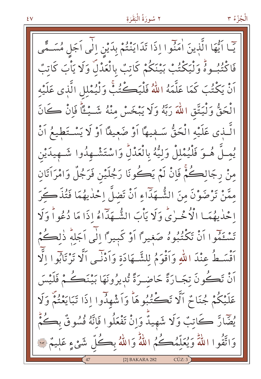الْجُزْءُ ٣

يّا أَيُّهَا الَّذِينَ اٰمَنُوا إِذَا تَدَايَنْتُمْ بِدَيْنِ إِلَٰى اَجَلِ مُسَـمًّى فَاكْتُبُوهُ وَلْيَكْتُبْ بَيْنَكُمْ كَاتِبٌ بِالْعَدْلُ وَلَا يَاْبَ كَاتِبٌ اَنْ يَكْتُبَ كَمَا عَلَّمَهُ اللَّهُ فَلْيَكْتُبُّ وَلْيُمْلِ الَّذِي عَلَيْه الْحَقُّ وَلْيَتَّقِ اللَّهَ رَبَّهُ وَلَا يَبْخَسْ مِنْهُ شَـيْـعًا فَإِنْ كَانَ الَّـٰذي عَلَيْه الْحَقُّ سَـٰفيهَا اَوْ ضَعيفًا اَوْ لَا يَسْـتَطيعُ اَنْ يُمِلِّ هُـوَ فَلْيُمْلِلْ وَلِيُّهُ بِالْعَدْلُ وَاسْتَشْـهِدُوا شَـهِيدَيْنِ مِنْ رِجَالِكُمْ فَإِنْ لَمْ يَكُونَا رَجُلَيْنِ فَرَجُلٌ وَامْرَاَتَانِ مِمَّنْ تَرْضَوْنَ مِنَ الشُّـهَدَّاءِ أَنْ تَضلَّ اِحْذٰيهُمَا فَتُذَكَّرَ احْدٰ يِهُمَا الْأُخْيرٰ يُ وَلَا يَأْبَ الشُّهَدَاءُ إِذَا مَا دُعُواً وَلَا تَسْخَمُوا اَنْ تَكْتُبُوهُ صَغِيرًا اَوْ كَبِيرًا اِلٰى اَجَلَهُ ذٰلِكُمْ اَقْسَطُ عِنْدَ اللّهِ وَاَقْوَمُ لِلشَّـهَادَةِ وَاَدْنَـى اَلَّا تَرْتَابُوا الَّا اَنْ تَكُونَ تِجَـارَةً حَاضـرَةً تُديرُونَهَا بَيْنَكُمْ فَلَيْسَ عَلَيْكُمْ جُنَاحٌ أَلَّا تَكْتُبُوهَا وَأَشْهَلُوا إِذَا تَبَايَعْتُمْ وَلَا يُضَّارَّ كَاتِبٌ وَلَا شَهِيدٌ وَإِنْ تَفْعَلُوا فَإِنَّهُ فُسُوقٌ بِكُمُّ وَاتَّقُوا اللَّهَ وَيُعَلَّمُكُمُ اللَّهُ وَاللَّهُ بِكُلِّ شَيْءٍ عَلِيمٌ \*\* [2] BAKARA 282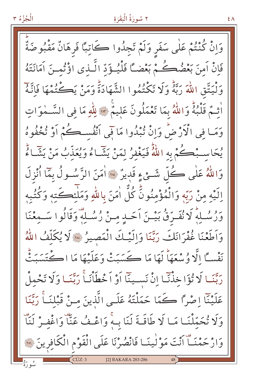الْجُزْءُ ٣

وَإِنْ كُنْتُمْ عَلٰى سَفَرٍ وَلَمْ تَجِدُوا كَاتِبًا فَرِهَانٌ مَقْبُوضَةٌ فَانْ اَمنَ بَعْضُكُمْ بَعْضاً فَلْيُـؤَدّ الَّـٰذِي اؤْثُمِـنَ اَمَانَتَهُ وَلْيَتَّقِ اللَّهَ رَبَّةُ وَلَا تَكْتُمُوا الشَّهَادَةُ وَمَنْ يَكْتُمْهَا فَإِنَّهُ أَثْمٌ قَلْبُهُۚ وَاللَّهُ بِمَا تَعْمَلُونَ عَلِيمٌ \* لِلَّهِ مَا فِي السَّـٰمٰوَاتِ وَمَا فِي الْأَرْضُ وَإِنْ تُبْدُوا مَا فِي أَنْفُسطُكُمْ أَوْ تُخْفُوهُ يُحَاسِبْكُمْ بِهِ اللَّهُ فَيَغْفِرُ لِمَنْ يَشَاءُ وَيُعَذِّبُ مَنْ يَشَاءُ وَاللَّهُ عَلَى كُلِّ شَئْءٍ قَدِيرٌ ۞ أَمَنَ الرَّسُولُ بِمَا أُنْزِلَ إِلَيْهِ مِنْ رَبِّهِ وَالْمُؤْمِنُونَّ كُلَّ اٰمَنَ بِاللَّهِ وَمَلْئِكَتِه وَكُتُبِه وَرُسُلِهِ لَا نُفَرِّقُ بَيْـنَ اَحَـدٍ مِـنْ رُسُـلِهِ وَقَالُوا سَـمِعْنَا وَاَطَعْنَا غُفْرَانَكَ رَبَّنَا وَالَيْكَ الْمَصِيرُ « لَا يُكَلّفُ اللّهُ نَفْسِــًا الَّا وُسْعَهَاْ لَهَا مَا ڪَسَبَتْ وَعَلَيْهَا مَا اڪْتَسَبَتّْ رَبَّنَـا لَا تُؤَاخِذْنَـا إِنْ نَسـينَا أَوْ اَخْطَأْنَـاً رَبَّنَـا وَلَا تَحْملْ عَلَيْنَا إِصْرًا كَمَا حَمَلْتَهُ عَلَى الَّذِينَ مِنْ قَبْلِنَـا ۚ رَبَّنَا وَلَا تُحَمَّلْنَـا مَـا لَا طَاقَـةَ لَنَا بِـهِ وَاعْـفُ عَنَّا وَاغْفـرْ لَنَا ّ وَارْجَمْنَــاّ أَنْتَ مَوْلَينَــا فَانْصُرْنَا عَلَى الْقَوْمِ الْكَافِرِينَ ۞ [2] BAKARA 283-286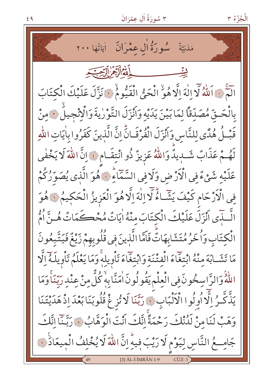٣ سُورَةُ أَلِ عِمْرَانَ

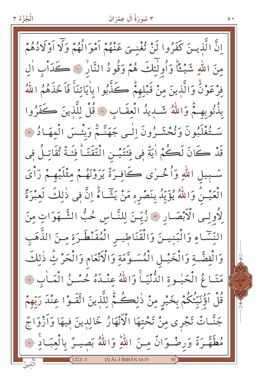#### الْجُزْءُ ٣

### ٣ سُورَةُ أَلِ عِمْرَانَ

انَّ الَّذينَ كَفَرُوا لَنْ تُغْنِيَ عَنْهُمْ أَمْوَالُهُمْ وَلَّا أَوْلَادُهُمْ مِنَ اللَّهِ شَيْءًا وَأُولٰئِكَ هُمْ وَقُودُ النَّارِ ۚ كَذَابِ ال فِرْعَوْنُ وَالَّذِينَ مِنْ قَبْلِهِمْ كَذَّبُوا بِاٰيَاتِنَاً فَاَخَذَهُمُ اللَّهُ بِذُنُوبِهِمْ وَاللَّهُ شَبِيدُ الْعِقَابِ ۞ قُلْ لِلَّذِينَ كَفَرُوا سَتُغْلَبُونَ وَتُحْشَرُونَ إِلَى جَهَنَّمَ وَبِئْسَ الْمِهَادُ ۞ قَدْ كَانَ لَكُمْ اٰيَةٌ فِي فِئَتَيْـنِ الْتَقَتَـاَ فِئَـةٌ ثُقَاتِـلُ فِي سَـبِيلِ اللّٰهِ وَأُخْـرٰى ڪَافِـرَةٌ يَرَوْنَهُـمْ مِثْلَيْهِـمْ رَأْىَ الْعَيْـنِّ وَاللَّهُ يُؤَيِّدُ بِنَصْرِهِ مَنْ يَشَّـاءُ إِنَّ فِي ذٰلِكَ لَعِبْرَةً لِأُولِـي الْأَبْصَـارِ ۞ زُيِّـنَ لِلنَّـاسِ خُبُّ الشَّــهَوَاتِ مِنَ النِّسَّاءِ وَالْبَنِيـنَ وَالْقَنَاطِيـر الْمُقَنْطَـرَةِ مِـنَ الذَّهَب وَالْفِضَّةِ وَالْخَيْـلِ الْمُسَـوَّمَةِ وَالْأَنْعَامِ وَالْحَرْ ثِّ ذٰلِكَ مَتَـاعُ الْحَيْـوةِ الدُّّنْيَـاً وَاللَّهُ عِنْـدَهُ حُسْـنُ الْمَـابِ ۞ قُلْ اَؤُنِّيُّنَكُمْ بِخَيْرِ مِنْ ذٰلِكُمْ لِلَّذِينَ اتَّقَـوْا عِنْدَ رَبِّهِمْ جَنَّـاتٌ تَجْرى مِنْ تَحْتِهَا الْأَنْهَارُ خَالِدِينَ فِيهَا وَأَزْوَاجٌ مُطَهَّرَةٌ وَرِضْـوَانٌ مِـنَ اللَّهِ وَاللَّهُ بَصِيـرٌ بِالْعِبَـادُ ۞ [3] ÂL-İ İMRÂN 10-15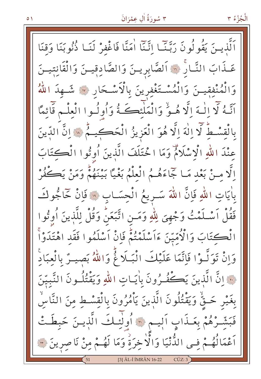الْجُزْءُ ٣

اَلَّذينَ يَقُولُونَ رَبَّنَـا اِتَّنَآ اٰمَنَّا فَاغْفِرْ لَنَـا ذُنُوبَنَا وَقِنَا عَـذَابَ النَّـارُ ۞ اَلصَّابِرِيسَ وَالصَّادِقِيـنَ وَالْقَانِتِيـنَ وَالْمُنْفِقِينَ وَالْمُسْتَغْفِرِينَ بِالْآَسْـحَارِ ۞ شَـهِدَ اللَّهُ اَنَّهُ لَّا إِلٰهَ إِلَّا هُ فِّ وَالْمَلْئِكَةُ وَأُولُوا الْعِلْمِ قَائِمًا بِالْقِسْطُ لَا إِلٰهَ إِلَّا هُوَ الْعَزِيزُ الْحَكِيمُ ۚ ﴾ إِنَّ الدِّينَ عنْدَ اللهِ الْإِسْلَامُ وَمَا اخْتَلَفَ الَّذِينَ أُوتُوا الْكِتَابَ اِلَّا مِنْ بَعْدِ مَـا جَاءَهُـمُ الْعِلْمُ بَغْيًا بَيْنَهُمْ وَمَنْ يَڪُفُرْ بِأَيَاتِ اللَّهِ فَإِنَّ اللَّهَ سَــريعُ الْـحِسَــابِ ۞ فَإِنْ كَمَاجُولَكَ فَقُلْ اَسْلَمْتُ وَجْهِيَ لِلّهِ وَمَـنِ اتَّبَعَنُّ وَقُلْ لِلَّذِينَ أُوتُوا الْكِتَابَ وَالْأُمِّيّنَ ءَاَسْلَمْنُمْ فَإِنْ اَسْلَمُوا فَقَد اهْتَدَوْاً وَإِنْ تَوَلَّـوْا فَإِنَّمَا عَلَيْكَ الْبَـلَا غُ وَاللَّهُ بَصِيـرٌ بِالْعِبَاد فَيَوْانَّ الَّذِينَ يَكْفُرُونَ بِاٰيَـاتِ اللهِ وَيَقْتُلُـونَ النَّبِيِّنَ بِغَيْرِ حَـقٌّ وَيَقْتُلُونَ الَّذِينَ يَأْمُرُونَ بِالْقِسْـطِ مِنَ النَّاسُّ فَبَشِّرْهُمْ بِعَـذَابٍ أَلِيـم ۞ أُولٰئِـكَ الَّذِيـنَ حَبطَـتْ اَعْمَالُهُمْ فِي الدُّنْيَا وَالْاخِرَةِ وَمَا لَهُمْ مِنْ نَاصِرِينَ ۞ [3] ÂL-İ İMRÂN 16-22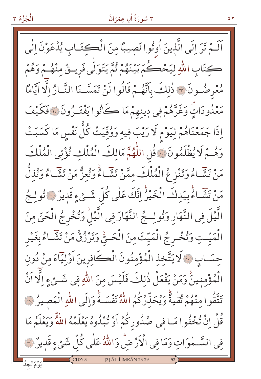الْجُزْءُ ٣

اَلَـمْ تَرَ إِلَى الَّذِينَ أُوتُوا نَصيبًا مِنَ الْكِتَـابِ يُدْعَوْنَ إِلَٰى كِتَابِ اللَّهِ لِيَحْكُمَ بَيْنَهُمْ ثُمَّ يَتَوَلَّى فَرِيتُ مِنْهُمْ وَهُمْ مُعْرِضُونَ \* ذٰلكَ بِأَنَّهُـمْ قَالُوا لَنْ تَمَسَّـنَا النَّـارُ الَّا ايَّامًا مَعْدُودَاتٍّ وَغَرَّهُمْ فِي دِينِهِمْ مَا كَانُوا يَفْتَــرُونَ ۞ فَكَـيْفَ اِذَا جَمَعْنَاهُمْ لِيَوْمِ لَا رَيْبَ فِيهِ وَوُفِّيَتْ كُلّْ نَفْسِ مَا كَسَبَتْ وَهُـمْ لَا يُظْلَمُونَ \* قُلِ اللَّهُمَّ مَالِكَ الْمُلْكِ تُؤْتِي الْمُلْكَ مَنْ تَشَاءُ وَتَنْزِعُ الْمُلْكَ مِمَّنْ تَشَاءُ وَتُعزُّ مَنْ تَشَاءُ وَتُذلُّ مَنْ تَشَاءُ بِيَدكَ الْخَيْرُ إِنَّكَ عَلَى كُلِّ شَيْءٍ قَدِيرٌ ۞ ثُولِجُ الَّيْلَ فِي النَّهَارِ وَتُولِّجُ النَّهَارَ فِي الَّيْلُ وَتُخْرِجُ الْحَيَّ مِنَ الْمَيِّتِ وَتُخْـرِجُ الْمَيِّتَ مِنَ الْحَـيّْ وَتَرْزُقُ مَنْ تَشَّـاءُ بِغَيْرِ جِسَابِ ﴾ لَا يَتَّخِذِ الْمُؤْمِنُونَ الْكَافِرِينَ أَوْلِيَاءَ مِنْ دُونِ الْمُؤْمِنِينَّ وَمَنْ يَفْعَلْ ذٰلِكَ فَلَيْسَ مِنَ اللّٰهِ في شَـيْءِ اِلَّا اَنْ تَتَّقُوا مِنْهُمْ تُقْيةً وَيُحَذِّرُكُمُ اللَّهُ نَفْسَـهُ وَإِلَى اللَّهِ الْمَصِيرُ ۞ قُلْ إِنْ تُخْفُوا مَـا فِي صُدُورِكُمْ أَوْ تُبْدُوهُ يَعْلَمْهُ اللَّهُ وَيَعْلَمُ مَا فِي السَّـمٰوَاتِ وَمَا فِي الْأَرْضِّ وَاللَّهُ عَلٰى كُلِّ شَيْءٍ قَدِيرٌ ۚ ۚ [3] ÂL-İ İMRÂN 23-29

۲ ه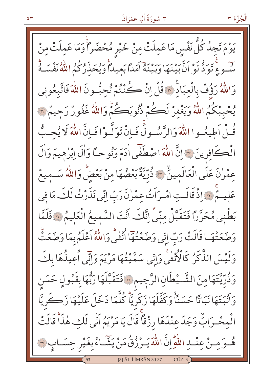يومَ تَجِدُ كُلَّ نَفْسِ مَا عَمِلَتْ مِنْ خَيْرِ مُحْضَراً وَمَا عَمِلَتْ مِنْ يس حَجَمَةً وَ مَتَّ ءُمِّي الْمَدَّةِ مَنْ يَسْتَمَرُّ عَ مَدَّرٌ وَ مُدَّةٍ وَ مُحَمَّدٌ وَ مَدَّةٍ مِنْ مَح وَاللَّهُ رَؤُفٌ بِالْعِبَادِينَ قُلْ إِنْ كُنْتُمْ تُحِبُّـونَ اللَّهَ فَاتَّبِعُونِي يُحْبِبْكُمُ اللَّهُ وَيَغْفِرْ لَكُمْ نُنُوبَكُمْ وَاللَّهُ غَفُورٌ رَحِيمٌ ۞ قُلْ أَطِيعُهوا اللَّهَ وَالرَّسُهِ لِّ فَبِانْ تَوَلَّـوْا فَبِانَّ اللَّهَ لَا يُحِبُّ الْكَافِرِينَ ٣ إِنَّ اللَّهَ اصْطَفَى اٰدَمَ وَنُو حـًّا وَاٰلَ إِبْرٰهِيمَ وَاٰلَ عِمْرٰنَ عَلَى الْعَالَمِينُ ٣ ذُرِّيَّةً بَعْضُهَا مِنْ بَعْضُ وَاللَّهُ سَـمِيعٌ عَلِيهُمْ \* إِذْ قَالَـتِ امْـرَاَتُ عِمْرِٰنَ رَبِّ إِنِّي نَذَرْتُ لَكَ مَا فِي بَطْنِي مُحَرَّرًا فَتَقَبَّلْ مِنِّي إِنَّكَ أَنْتَ السَّمِيعُ الْعَلِيمُ ﴿ فَلَمَّا وَصَعَتْهَا قَالَتْ رَبِّ إِنِّي وَصَعْتُهَا أُنْثَى وَاللَّهُ اَعْلَمُ بِمَا وَصَعَتّْ وَلَيْسَ الذَّكَرُ كَالْأَنْثَى وَإِنِّي سَمَّيْتُهَا مَرْيَمَ وَإِنِّي اُعِيذُهَا بِكَ وَذُرِّيَّتَهَا مِنَ الشَّــْطَانِ الرَّجِيمِ ۞ فَتَقَبَّلَهَا رَبُّهَا بِقَبُولِ حَسَن وَأَنْبَتَهَا نَبَاتًا حَسَنًاْ وَكَفَّلَهَا زَكَرِيّاً كُلَّمَا دَخَلَ عَلَيْهَا زَكَرِيّا الْمِحْـرَابٌّ وَجَدَعِنْدَهَا رِزْقاً قَالَ يَا مَرْيَمُ اَنِّي لَكَ هٰذَا قَالَتْ هُوَ منْ عِنْـداللّٰهِ إِنَّ اللّٰهَ يَـرْزُقُ مَنْ يَشَّـاءُ بِغَيْرِ حِسَـابٍ ۞ 131 ÂL-İ İMRÂN 30-37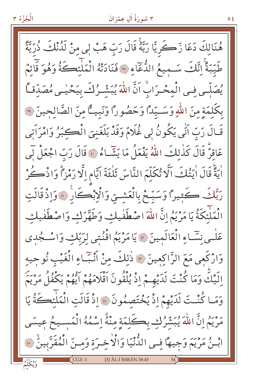هُنَالِكَ دَعَا زَكَ رَبِّهِ وَتَهْ قَالَ رَبِّ هَبْ لِي مِنْ لَدُنْكَ ذُرِّيَّةً طَيِّبَةً إِنَّكَ سَبِيعُ الدُّعَاءِ ۞ فَنَادَتْهُ الْمَلْنَكَةُ وَهُوَ قَائِمٌ يُصَلِّبِي فِي الْمِحْـرَابِ اَنَّ اللَّهَ يُبَشِّـرُكَ بِيَحْيِـي مُصَدّقـاً بِكَلِمَةٍ مِنَ اللَّهِ وَسَــيّداً وَحَصُوراً وَنَبيــًّا مِنَ الصَّالِحِينَ ۞ قَـالَ رَبِّ اَنِّي يَكُونُ لي غُلَامٌ وَقَدْ بَلَغَنيَ الْڪبَرُ وَامْرَاتِي عَاقرٌ قَالَ كَذٰلكَ اللَّهُ يَفْعَلُ مَا يَشَّاءُ ﴾ قَالَ رَبِّ اجْعَلْ لَي اٰيَةً قَالَ اٰيَتُكَ اَلَّا تُكَلَّمَ النَّاسَ ثَلْثَةَ اَيَّامِ اِلَّا رَمْزًاً وَاذْكُرْ رَبَّكَ كَثِيرًا وَسَبِّحْ بِالْعَشِيِّ وَالْإِبْكَارْ ، وَإِذْ قَالَتِ الْمَلْئكَةُ يَا مَرْيَمُ إِنَّ اللَّهَ اصْطَفْيكِ وَطَهَّرَكِ وَاصْطَفْيكِ عَلٰـي نِسّٓـاءِ الْعَالَمِينَ ۞ يَا مَرْيَمُ اقْنُتِي لِرَبّابٍ وَاسْـجُدٖى وَارْكَعِي مَعَ الرَّاكِعِينَ \* ذٰلِكَ مِنْ أَنْبَـاءِ الْغَيْبِ نُو حِيهِ إِلَيْكَ وَمَا كُنْتَ لَدَيْهِـمْ إِذْ يُلْقُونَ أَقْلَامَهُمْ أَيُّهُمْ يَكُفُلُ مَرْيَحٌ وَمَا كُنْتَ لَدَيْهِمْ إِذْ يَخْتَصِمُونَ ﴾ إِذْ قَالَتِ الْمَلْئِكَةُ يَا ءَ مِنْ إِنَّ اللَّهَ يُبَشَّرُكِ بِكَلِمَةِ مِنْهُ إِسْمُهُ الْمَسـيحُ عِيسَى ابْـنُ مَرْيَمَ وَجِيهًا فِـي الدُّنْيَا وَالْأَخِـرَة وَمـنَ الْمُقَرَّبِينُ ۞ [3] ÂL-İ İMRÂN 38-45

الْجُزْءُ ٣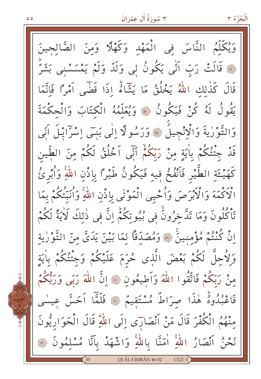الْجُزْءُ ٣

وَيُكَلِّمُ النَّاسَ فِي الْمَهْدِ وَكَهْلًا وَمِنَ الصَّالِحِينَ نَّةَ قَالَتْ رَبِّ اَنِّى يَكُونُ لِي وَلَدٌ وَلَمْ يَمْسَسْنِي بَشَرٌ قَالَ كَذٰلِكِ اللَّهُ يَخْلُقُ مَا يَشَاءُ إِذَا قَضَى أَمْرًا فَإِنَّمَا يَقُولُ لَهُ كُنْ فَيَكُونُ \* وَيُعَلَّمُهُ الْكِتَابَ وَالْحِكْمَةَ وَالتَّوْرٰيةَ وَالْانْجِيلِّ ۚ وَرَسُولًا إِلَٰى بَنِيَ إِسْرَائِلَ اَنِّي قَدْ جِئْتُكُمْ بِأَيَةٍ مِنْ رَبِّكُمْ آَنِّي اَخْلُقُ لَكُمْ مِنَ الطِّين كَهَيْــَةِ الطَّيْرِ فَأَنْفُخُ فِيهِ فَيَكُونُ طَيْرًا بِإِذْنِ اللَّهِ وَأَبْرِئُ الْأَكْمَهَ وَالْأَبْرَصَ وَأُحْيِي الْمَوْتَى بِاذْنِ اللَّهِ وَأُنَبِّئُكُمْ بِمَا تَأْكُلُونَ وَمَا تَدَّخْرُونَ فِي بُيُوتِكُمْ إِنَّ فِي ذٰلِكَ لَأَيَةً لَكُمْ اِنْ كُنْتُمْ مُؤْمِنِينَ ۚ ﴾ وَمُصَدِّقًا لِمَا بَيْنَ يَدَىَّ مِنَ التَّوْرٰيةِ وَلاُجِلَّ لَكُمْ بَعْضَ الَّذِى حُرِّمَ عَلَيْكُمْ وَجِئْتُكُمْ بِاٰيَةٍ مِنْ رَبِّكُمْ فَاتَّقُوا اللَّهَ وَاَطِيعُونِ ۞ إِنَّ اللَّهَ رَبِّي وَرَبُّكُمْ فَاعْبُدُوهُ هٰذَا صِرَاطٌ مُسْتَقِيمٌ ۞ فَلَمَّا أَحَسَّ عِيسٰي مِنْهُمُ الْكُفْرَ قَالَ مَنْ اَنْصَارَى إِلَى اللَّهِ قَالَ الْحَوَارِيُّونَ نَحْنُ أَنْصَارُ اللَّهِ أُمَنَّا بِاللَّهِ وَاشْهَدْ بِأَنَّا مُسْلِمُونَ ۞ [3] ÂL-İ İMRÂN 46-52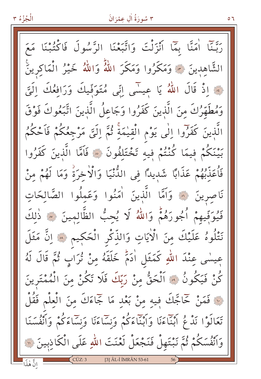الْجُزْءُ ٣

### ٣ سُورَةُ أَلِ عِمْرَانَ

رَبَّنَا اٰمَنَّا بِمَا اَنْزَلْتَ وَاتَّبَعْنَا الرَّسُولَ فَاكْتُبْنَا مَعَ الشَّاهِدِينَ ۞ وَمَكَرُوا وَمَكَرَ اللَّهُ وَاللَّهُ خَيْرُ الْمَاكِرِينَ فَ إِذْ قَالَ اللَّهُ يَا عِيسَى إِنِّي مُتَوَفِّيكَ وَرَافِعُكَ إِلَيَّ وَمُطَهَّرُكَ منَ الَّذِينَ كَفَرُوا وَجَاعِلُ الَّذِينَ اتَّبَعُوكَ فَوْقَ الَّذِينَ كَفَرُوا اِلَى يَوْمِ الْقِيْمَةِ ثُمَّ اِلَيَّ مَرْجِعُكُمْ فَاَحْكُمْ بَيْنَكُمْ فِيمَا كُنْتُمْ فِيهِ تَخْتَلِفُونَ ۞ فَاَمَّا الَّذِينَ كَفَرُوا فَأُعَذِّبُهُمْ عَذَابًا شَدِيدًا فِي الدُّنْيَا وَالْأُخِرَةُ وَمَا لَهُمْ مِنْ نَاصِرِينَ ۞ وَاَمَّا الَّذِينَ اٰمَنُوا وَعَمِلُوا الصَّالِحَاتِ فَيُوَفِّيهِمْ أُجُورَهُمْ وَاللَّهُ لَا يُحِبُّ الظَّالِمِينَ ۞ ذٰلِكَ نَتْلُوهُ عَلَيْكَ مِنَ الْأَيَاتِ وَالذِّكْرِ الْحَكِيمِ ﴾ [لِّ مَثَلَ عِيسٰى عِنْدَ اللّٰهِ كَمَثَلِ اٰدَمَّ خَلَقَهُ مِنْ تُرَابٍ ثُمَّ قَالَ لَهُ كُنْ فَيَكُونُ \* اَلْحَقُّ مِنْ رَبّكَ فَلَا تَكُنْ مِنَ الْمُمْتَرِينَ نَ ۚ فَمَنْ خَاجَّكَ فِيهِ مِنْ بَعْدِ مَا جَاءَكَ مِنَ الْعِلْمِ فَقُلْ تَعَالَوْا نَدْعُ أَبْنَاءَنَا وَأَبْنَاءَكُمْ وَنِسَاءَنَا وَنِسَاءَكُمْ وَأَنْفُسَنَا وَانْفُسَكُمْ ثُمَّ نَبْتَهِلْ فَنَجْعَلْ لَعْنَتَ اللهِ عَلَى الْكَاذِبِينَ ۞ [3] ÂL-İ İMRÂN 53-61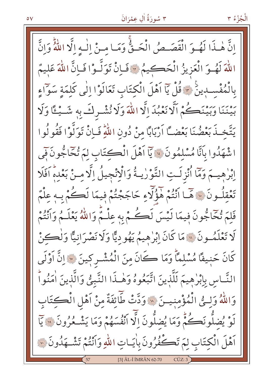الْجُزْءُ ٣

إِنَّ هٰـذَا لَهُـوَ الْقَصَـصُ الْحَـقٌّ وَمَـا مـنْ إِلَـهِ إِلَّا اللَّهُ وَإِنَّ اللَّهَ لَهُــوَ الْعَزِيزُ الْحَكِيمُ \* فَــاِنْ تَوَلَّـوْا فَـاِنَّ اللَّهَ عَلِيمٌ بِالْمُفْسِدِينَ \* قُلْ يَا اَهْلَ الْكِتَابِ تَعَالَوْا اِلَٰى كَلِمَةِ سَوَاءِ بَيْنَنَا وَبَيْنَكُمْ أَلَّا نَعْبُدَ إِلَّا اللَّهَ وَلَا نُشْرِكَ بِهِ شَيْئًا وَلَا يَتَّخِـذَ بَعْضُنَا بَعْضـًا اَرْبَابًا منْ دُونِ اللَّهِ فَـاِنْ تَوَلَّوْا فَقُولُوا اشْهَدُوا بِأَنَّا مُسْلِمُونَ ﴾ يَآ اَهْلَ الْڪِتَابِ لِمَ تُحَاجُونَ فِي إِبْرٰهِيــَمَ وَمَآا أُنْزِلَـتِ التَّوْرٰيـةُ وَالْإِنْجِيلُ إِلَّا مـنْ بَعْدَهُ اَفَلَا تَعْقِلُونَ ﴾ هَمَا أَنْتُمْ هَؤُلَّاءِ حَاجَجْتُمْ فِيمَا لَكُمْ بِهِ عِلْمٌ فَلَمَ تُكَاجُونَ فِيمَا لَيْسَ لَكُمْ بِهِ عِلْمٌ وَاللَّهُ يَعْلَـمُ وَأَنْتُمْ كَا تَعْلَمُونَ ۞ مَا كَانَ إِبْرٰهِيمُ يَهُودِيًّا وَلَا نَصْرَانِيًّا وَلْكُنَّ كَانَ حَنِيفًا مُسْلِمًا وَمَا كَانَ مِنَ الْمُشْـرِكِينَ ۞ اِنَّ اَوْلَى النَّـاسِ بِابْرٰهِيمَ لَلَّذِينَ اتَّبَعُوهُ وَهٰـذَا النَّبِيُّ وَالَّذِينَ اٰمَنُواَ وَاللَّهُ وَلِئُ الْمُؤْمِنِينَ ۞ وَدَّتْ طَّائِفَةٌ مِنْ اَهْلِ الْكِتَابِ لَوْ يُضلُّونَكُمْ وَمَا يُضلُّونَ اِلَّا انْفُسَهُمْ وَمَا يَشْـعُرُونَ ۚ ۚ آيَا أَهْلَ الْكِتَابِ لِمَ تَڪْفُرُونَ بِاٰيَـاتِ اللّهِ وَأَنْتُمْ تَشْــهَدُونَ ۞ 131 ÂL-İ İMRÂN 62-70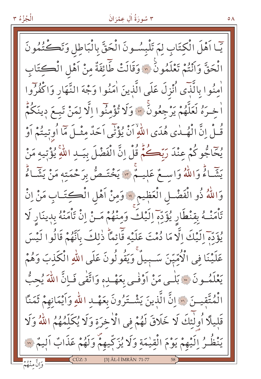الْجُزْءُ ٣

#### ٣ سُورَةُ أَلِ عِمْرَانَ

 $\circ \wedge$ 

يّما أَهْلَ الْكِتَابِ لِمَ تَلْبِسُونَ الْحَقَّ بِالْبَاطِلِ وَتَكْتُمُونَ الْحَقَّ وَأَنْتُمْ تَعْلَمُونَ ۚ ۞ وَقَالَتْ طَّائِفَةٌ مِنْ أَهْلِ الْڪِتَابِ اْمِنُوا بِالَّذِّي أُنْزِلَ عَلَى الَّذِينَ اٰمَنُوا وَجْهَ النَّهَارِ وَاكْفُرُوا خرَهُ لَعَلَّهُمْ يَرْجِعُونَ ۚ \* وَلَا تُؤْمِنُوا اِلَّا لِمَنْ تَبِعَ دِينَكُمْ قُـلْ إِنَّ الْهُــدٰى هُدَى اللّهِ أَنْ يُؤْتَى اَحَدٌ مِثْـلَ مَّا أُوتِيتُمْ أَوْ يُحَاجُو كُمْ عنْدَ رَبِّكُمّْ قُلْ إِنَّ الْفَضْلَ بِيَــدِ اللّهِ يُؤْتِيهِ مَنْ يَتَّمَاءُ وَاللَّهُ وَاسِعُ عَلِيهُمْ ۞ يَخْتَـصُّ بِرَحْمَتِهِ مَنْ يَشَاءُ وَاللَّهُ ذُو الْفَضْـلِ الْعَظِيمِ \* وَمِنْ أَهْلِ الْڪِتَـابِ مَنْ إِنْ تَأْمَنْــهُ بِقِنْطَارِ يُؤَدِّمَ اِلَيْكَ وَمِنْهُمْ مَـنْ إِنْ تَأْمَنْهُ بِدِينَارِ لَا يُؤَدِّهَ إِلَيْكَ إِلَّا مَا دُمْتَ عَلَيْه قَائِمًا ذٰلكَ بِأَنَّهُمْ قَالُوا لَيْسَ عَلَيْنَا فِي الْأُمِّيّنَ سَـبِيلٌ وَيَقُولُونَ عَلَى اللهِ الْكَذِبَ وَهُمْ يَعْلَمُونَ ۞ بَلْـي مَنْ أَوْفْـي بِعَهْـدِه وَاتَّقْى فَـاِنَّ اللَّهَ يُحبُّ الْمُتَّقِيتَ ۞ إِنَّ الَّذِينَ يَشْتَرُونَ بِعَهْبِ اللَّهِ وَأَيْمَانِهِمْ ثَمَنَّا قَليلًا أُولٰئكَ لَا خَلَاقَ لَهُمْ فِي الْاٰخِرَةِ وَلَا يُكَلِّمُهُمُ اللَّهُ وَلَا يَنْظُرُ اِلَيْهِمْ يَوْمَ الْقِيْمَةِ وَلَا يُزَكِّيهِمْ وَلَهُمْ عَذَابٌ اَلِيمٌ ۞ [3] ÂL-İ İMRÂN *7*1-77 وَإِنَّ مِنْهُمْ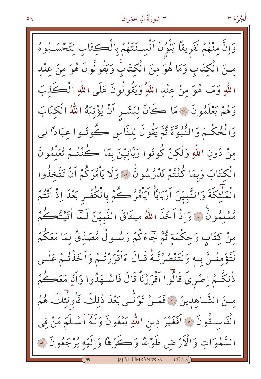الْجُزْءُ ٣

وَإِنَّ مِنْهُمْ لَفَرِيقاً يَلْوُنَ اَلْسِـنَتَهُمْ بِالْكِتَابِ لِتَحْسَـبُوهُ مِـنَ الْكِتَابِ وَمَا هُوَ مِنَ الْكِتَابِ وَيَقُولُونَ هُوَ مِنْ عِنْد اللهِ وَمَا هُوَ مِنْ عِنْدِ اللَّهِ وَيَقُو لُونَ عَلَى اللهِ الْڪَذِبَ وَهُمْ يَعْلَمُونَ ۞ مَا كَانَ لِبَشَـرٍ اَنْ يُؤْتِيَهُ اللَّهُ الْكِتَابَ وَالْحُكْمَ وَالنُّبُوَّةَ ثُمَّ يَقُولَ لِلنَّاسِ كُونُوا عِبَادًا لِي مِنْ دُونِ اللَّهِ وَلٰكِنْ كُونُوا رَبَّانِيِّنَ بِمَا كُنْتُـمْ تُعَلِّمُونَ الْكِتَابَ وَبِمَا كُنْتُمْ تَدْرُسُونُ \* وَلَا يَأْمُرَكُمْ اَنْ تَتَّخذُوا الْمَلْئِكَةَ وَالنَّبِيِّنَ اَرْبَابَاًّ اَيَاْمُرُكُمْ كُمْ بِالْكُفْسِ بَعْدَ اِذْ اَنْتُمْ مُسْلَمُونَ ۞ وَإِذْ اَخَذَ اللَّهُ مِيثَاقَ النَّبِيّنَ لَمَّا اٰتَيْتُكُمْ مِنْ كِتَابٍ وَحِكْمَةٍ ثُمَّ جَمَاءَكُمْ رَسُــولٌ مُصَدّقٌ لمَا مَعَكُمْ لَتُؤْمِنُـنَّ بِ4 وَلَتَنْصُرُنَّـهُ قَـالَ ءَاَقْرَرْتُـمْ وَاَخَذْتُـمْ عَلْـي ذٰلِكُمْ اِصْرِيُّ قَالُوا اَقْرَرْنَا قَالَ فَاشْـهَدُوا وَاَنَإِ مَعَكُمْ مِنَ الشَّاهِدِينَ ۞ فَمَىنْ تَوَلَّـى بَعْدَ ذٰلكَ فَأُولَٰئَكَ هُمُ الْفَاسِـقُونَ ۞ افَغَيْرَ دِينِ اللَّهِ يَبْغُونَ وَلَـهُ اَسْـلَمَ مَنْ فِي السَّمٰوَاتِ وَالْأَرْضِ طَوْعًا وَكَرْهًا وَالَّيْهِ يُرْجَعُونَ ۞ 131 ÂL-İ İMRÂN 78-83